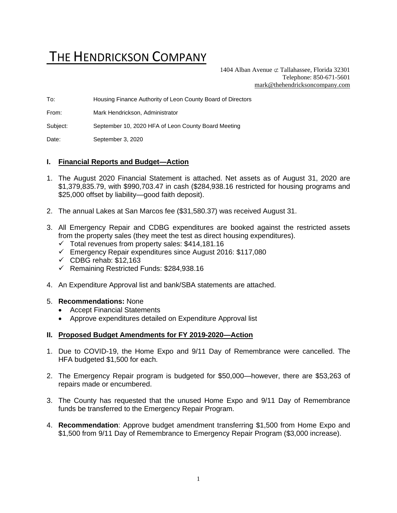# THE HENDRICKSON COMPANY

1404 Alban Avenue  $\sigma$  Tallahassee, Florida 32301 Telephone: 850-671-5601 [mark@thehendricksoncompany.com](mailto:mark@thehendricksoncompany.com)

To: Housing Finance Authority of Leon County Board of Directors

From: Mark Hendrickson, Administrator

Subject: September 10, 2020 HFA of Leon County Board Meeting

Date: September 3, 2020

#### **I. Financial Reports and Budget—Action**

- 1. The August 2020 Financial Statement is attached. Net assets as of August 31, 2020 are \$1,379,835.79, with \$990,703.47 in cash (\$284,938.16 restricted for housing programs and \$25,000 offset by liability—good faith deposit).
- 2. The annual Lakes at San Marcos fee (\$31,580.37) was received August 31.
- 3. All Emergency Repair and CDBG expenditures are booked against the restricted assets from the property sales (they meet the test as direct housing expenditures).
	- $\checkmark$  Total revenues from property sales: \$414,181.16
	- ✓ Emergency Repair expenditures since August 2016: \$117,080
	- $\checkmark$  CDBG rehab: \$12,163
	- ✓ Remaining Restricted Funds: \$284,938.16
- 4. An Expenditure Approval list and bank/SBA statements are attached.

#### 5. **Recommendations:** None

- Accept Financial Statements
- Approve expenditures detailed on Expenditure Approval list

#### **II. Proposed Budget Amendments for FY 2019-2020—Action**

- 1. Due to COVID-19, the Home Expo and 9/11 Day of Remembrance were cancelled. The HFA budgeted \$1,500 for each.
- 2. The Emergency Repair program is budgeted for \$50,000—however, there are \$53,263 of repairs made or encumbered.
- 3. The County has requested that the unused Home Expo and 9/11 Day of Remembrance funds be transferred to the Emergency Repair Program.
- 4. **Recommendation**: Approve budget amendment transferring \$1,500 from Home Expo and \$1,500 from 9/11 Day of Remembrance to Emergency Repair Program (\$3,000 increase).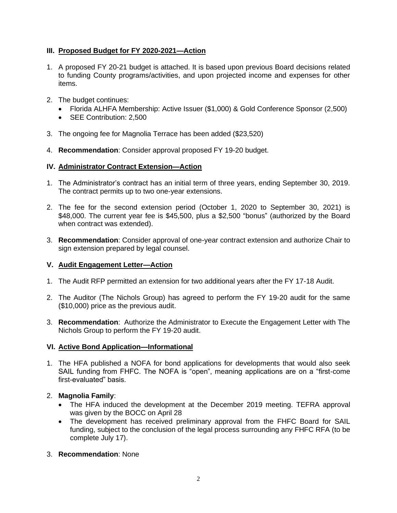# **III. Proposed Budget for FY 2020-2021—Action**

- 1. A proposed FY 20-21 budget is attached. It is based upon previous Board decisions related to funding County programs/activities, and upon projected income and expenses for other items.
- 2. The budget continues:
	- Florida ALHFA Membership: Active Issuer (\$1,000) & Gold Conference Sponsor (2,500)
	- SEE Contribution: 2,500
- 3. The ongoing fee for Magnolia Terrace has been added (\$23,520)
- 4. **Recommendation**: Consider approval proposed FY 19-20 budget.

#### **IV. Administrator Contract Extension—Action**

- 1. The Administrator's contract has an initial term of three years, ending September 30, 2019. The contract permits up to two one-year extensions.
- 2. The fee for the second extension period (October 1, 2020 to September 30, 2021) is \$48,000. The current year fee is \$45,500, plus a \$2,500 "bonus" (authorized by the Board when contract was extended).
- 3. **Recommendation**: Consider approval of one-year contract extension and authorize Chair to sign extension prepared by legal counsel.

## **V. Audit Engagement Letter—Action**

- 1. The Audit RFP permitted an extension for two additional years after the FY 17-18 Audit.
- 2. The Auditor (The Nichols Group) has agreed to perform the FY 19-20 audit for the same (\$10,000) price as the previous audit.
- 3. **Recommendation**: Authorize the Administrator to Execute the Engagement Letter with The Nichols Group to perform the FY 19-20 audit.

## **VI. Active Bond Application—Informational**

1. The HFA published a NOFA for bond applications for developments that would also seek SAIL funding from FHFC. The NOFA is "open", meaning applications are on a "first-come first-evaluated" basis.

## 2. **Magnolia Family**:

- The HFA induced the development at the December 2019 meeting. TEFRA approval was given by the BOCC on April 28
- The development has received preliminary approval from the FHFC Board for SAIL funding, subject to the conclusion of the legal process surrounding any FHFC RFA (to be complete July 17).

## 3. **Recommendation**: None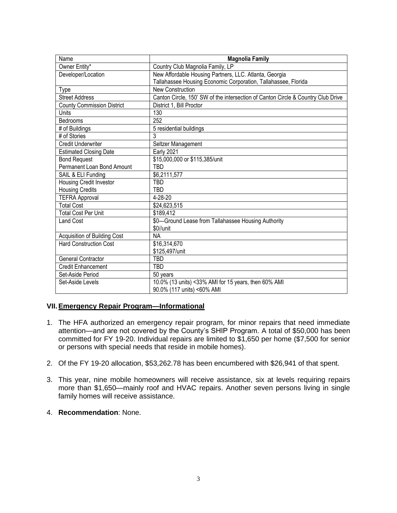| Name                              | <b>Magnolia Family</b>                                                           |
|-----------------------------------|----------------------------------------------------------------------------------|
| Owner Entity*                     | Country Club Magnolia Family, LP                                                 |
| Developer/Location                | New Affordable Housing Partners, LLC. Atlanta, Georgia                           |
|                                   | Tallahassee Housing Economic Corporation, Tallahassee, Florida                   |
| <b>Type</b>                       | <b>New Construction</b>                                                          |
| <b>Street Address</b>             | Canton Circle, 150' SW of the intersection of Canton Circle & Country Club Drive |
| <b>County Commission District</b> | District 1, Bill Proctor                                                         |
| Units                             | 130                                                                              |
| Bedrooms                          | 252                                                                              |
| # of Buildings                    | 5 residential buildings                                                          |
| # of Stories                      | 3                                                                                |
| <b>Credit Underwriter</b>         | Seltzer Management                                                               |
| <b>Estimated Closing Date</b>     | <b>Early 2021</b>                                                                |
| <b>Bond Request</b>               | \$15,000,000 or \$115,385/unit                                                   |
| Permanent Loan Bond Amount        | TBD                                                                              |
| SAIL & ELI Funding                | \$6,2111,577                                                                     |
| Housing Credit Investor           | TBD                                                                              |
| <b>Housing Credits</b>            | TBD                                                                              |
| <b>TEFRA Approval</b>             | 4-28-20                                                                          |
| <b>Total Cost</b>                 | \$24,623,515                                                                     |
| <b>Total Cost Per Unit</b>        | \$189,412                                                                        |
| <b>Land Cost</b>                  | \$0-Ground Lease from Tallahassee Housing Authority                              |
|                                   | \$0//unit                                                                        |
| Acquisition of Building Cost      | <b>NA</b>                                                                        |
| <b>Hard Construction Cost</b>     | \$16,314,670                                                                     |
|                                   | \$125,497/unit                                                                   |
| <b>General Contractor</b>         | TBD                                                                              |
| <b>Credit Enhancement</b>         | TBD                                                                              |
| Set-Aside Period                  | 50 years                                                                         |
| Set-Aside Levels                  | 10.0% (13 units) <33% AMI for 15 years, then 60% AMI                             |
|                                   | 90.0% (117 units) <60% AMI                                                       |

## **VII.Emergency Repair Program—Informational**

- 1. The HFA authorized an emergency repair program, for minor repairs that need immediate attention—and are not covered by the County's SHIP Program. A total of \$50,000 has been committed for FY 19-20. Individual repairs are limited to \$1,650 per home (\$7,500 for senior or persons with special needs that reside in mobile homes).
- 2. Of the FY 19-20 allocation, \$53,262.78 has been encumbered with \$26,941 of that spent.
- 3. This year, nine mobile homeowners will receive assistance, six at levels requiring repairs more than \$1,650—mainly roof and HVAC repairs. Another seven persons living in single family homes will receive assistance.
- 4. **Recommendation**: None.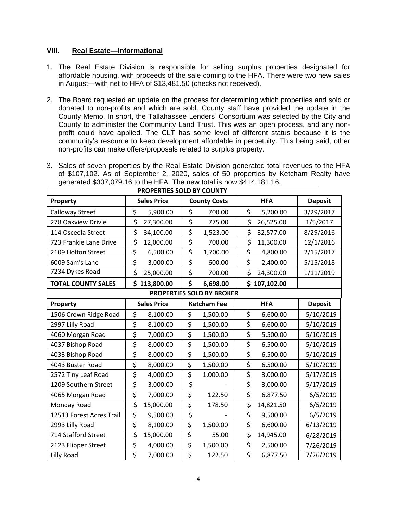#### **VIII. Real Estate—Informational**

- 1. The Real Estate Division is responsible for selling surplus properties designated for affordable housing, with proceeds of the sale coming to the HFA. There were two new sales in August—with net to HFA of \$13,481.50 (checks not received).
- 2. The Board requested an update on the process for determining which properties and sold or donated to non-profits and which are sold. County staff have provided the update in the County Memo. In short, the Tallahassee Lenders' Consortium was selected by the City and County to administer the Community Land Trust. This was an open process, and any nonprofit could have applied. The CLT has some level of different status because it is the community's resource to keep development affordable in perpetuity. This being said, other non-profits can make offers/proposals related to surplus property.
- 3. Sales of seven properties by the Real Estate Division generated total revenues to the HFA of \$107,102. As of September 2, 2020, sales of 50 properties by Ketcham Realty have generated \$307,079.16 to the HFA. The new total is now \$414,181.16.

| PROPERTIES SOLD BY COUNTY        |                    |                     |                 |                |  |  |
|----------------------------------|--------------------|---------------------|-----------------|----------------|--|--|
| Property                         | <b>Sales Price</b> | <b>County Costs</b> | <b>HFA</b>      | <b>Deposit</b> |  |  |
| Calloway Street                  | \$<br>5,900.00     | \$<br>700.00        | \$<br>5,200.00  | 3/29/2017      |  |  |
| 278 Oakview Drivie               | \$<br>27,300.00    | \$<br>775.00        | \$<br>26,525.00 | 1/5/2017       |  |  |
| 114 Osceola Street               | \$<br>34,100.00    | \$<br>1,523.00      | \$<br>32,577.00 | 8/29/2016      |  |  |
| 723 Frankie Lane Drive           | \$<br>12,000.00    | \$<br>700.00        | \$<br>11,300.00 | 12/1/2016      |  |  |
| 2109 Holton Street               | \$<br>6,500.00     | \$<br>1,700.00      | \$<br>4,800.00  | 2/15/2017      |  |  |
| 6009 Sam's Lane                  | \$<br>3,000.00     | \$<br>600.00        | \$<br>2,400.00  | 5/15/2018      |  |  |
| 7234 Dykes Road                  | \$<br>25,000.00    | \$<br>700.00        | \$<br>24,300.00 | 1/11/2019      |  |  |
| <b>TOTAL COUNTY SALES</b>        | \$113,800.00       | \$<br>6,698.00      | \$107,102.00    |                |  |  |
| <b>PROPERTIES SOLD BY BROKER</b> |                    |                     |                 |                |  |  |
| Property                         | <b>Sales Price</b> | <b>Ketcham Fee</b>  | <b>HFA</b>      | <b>Deposit</b> |  |  |
| 1506 Crown Ridge Road            | \$<br>8,100.00     | \$<br>1,500.00      | \$<br>6,600.00  | 5/10/2019      |  |  |
| 2997 Lilly Road                  | \$<br>8,100.00     | \$<br>1,500.00      | \$<br>6,600.00  | 5/10/2019      |  |  |
| 4060 Morgan Road                 | \$<br>7,000.00     | \$<br>1,500.00      | \$<br>5,500.00  | 5/10/2019      |  |  |
| 4037 Bishop Road                 | \$<br>8,000.00     | \$<br>1,500.00      | \$<br>6,500.00  | 5/10/2019      |  |  |
| 4033 Bishop Road                 | \$<br>8,000.00     | \$<br>1,500.00      | \$<br>6,500.00  | 5/10/2019      |  |  |
| 4043 Buster Road                 | \$<br>8,000.00     | \$<br>1,500.00      | \$<br>6,500.00  | 5/10/2019      |  |  |
| 2572 Tiny Leaf Road              | \$<br>4,000.00     | \$<br>1,000.00      | \$<br>3,000.00  | 5/17/2019      |  |  |
| 1209 Southern Street             | \$<br>3,000.00     | \$                  | \$<br>3,000.00  | 5/17/2019      |  |  |
| 4065 Morgan Road                 | \$<br>7,000.00     | \$<br>122.50        | \$<br>6,877.50  | 6/5/2019       |  |  |
| Monday Road                      | \$<br>15,000.00    | \$<br>178.50        | \$<br>14,821.50 | 6/5/2019       |  |  |
| 12513 Forest Acres Trail         | \$<br>9,500.00     | \$                  | \$<br>9,500.00  | 6/5/2019       |  |  |
| 2993 Lilly Road                  | \$<br>8,100.00     | \$<br>1,500.00      | \$<br>6,600.00  | 6/13/2019      |  |  |
| 714 Stafford Street              | \$<br>15,000.00    | \$<br>55.00         | \$<br>14,945.00 | 6/28/2019      |  |  |
| 2123 Flipper Street              | \$<br>4,000.00     | \$<br>1,500.00      | \$<br>2,500.00  | 7/26/2019      |  |  |
| <b>Lilly Road</b>                | \$<br>7,000.00     | \$<br>122.50        | \$<br>6,877.50  | 7/26/2019      |  |  |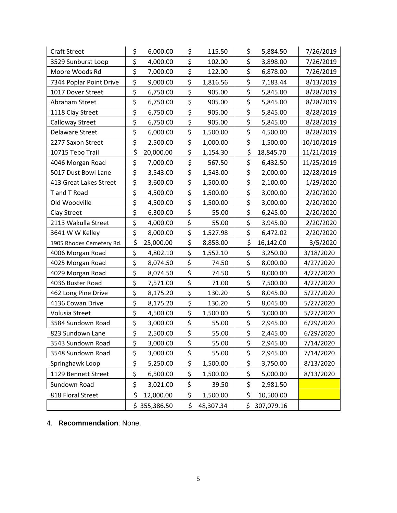| <b>Craft Street</b>      | \$<br>6,000.00  | \$      | 115.50    | \$<br>5,884.50   | 7/26/2019  |
|--------------------------|-----------------|---------|-----------|------------------|------------|
| 3529 Sunburst Loop       | \$<br>4,000.00  | \$      | 102.00    | \$<br>3,898.00   | 7/26/2019  |
| Moore Woods Rd           | \$<br>7,000.00  | \$      | 122.00    | \$<br>6,878.00   | 7/26/2019  |
| 7344 Poplar Point Drive  | \$<br>9,000.00  | \$      | 1,816.56  | \$<br>7,183.44   | 8/13/2019  |
| 1017 Dover Street        | \$<br>6,750.00  | \$      | 905.00    | \$<br>5,845.00   | 8/28/2019  |
| Abraham Street           | \$<br>6,750.00  | \$      | 905.00    | \$<br>5,845.00   | 8/28/2019  |
| 1118 Clay Street         | \$<br>6,750.00  | \$      | 905.00    | \$<br>5,845.00   | 8/28/2019  |
| Calloway Street          | \$<br>6,750.00  | \$      | 905.00    | \$<br>5,845.00   | 8/28/2019  |
| Delaware Street          | \$<br>6,000.00  | \$      | 1,500.00  | \$<br>4,500.00   | 8/28/2019  |
| 2277 Saxon Street        | \$<br>2,500.00  | \$      | 1,000.00  | \$<br>1,500.00   | 10/10/2019 |
| 10715 Tebo Trail         | \$<br>20,000.00 | \$      | 1,154.30  | \$<br>18,845.70  | 11/21/2019 |
| 4046 Morgan Road         | \$<br>7,000.00  | \$      | 567.50    | \$<br>6,432.50   | 11/25/2019 |
| 5017 Dust Bowl Lane      | \$<br>3,543.00  | \$      | 1,543.00  | \$<br>2,000.00   | 12/28/2019 |
| 413 Great Lakes Street   | \$<br>3,600.00  | \$      | 1,500.00  | \$<br>2,100.00   | 1/29/2020  |
| T and T Road             | \$<br>4,500.00  | \$      | 1,500.00  | \$<br>3,000.00   | 2/20/2020  |
| Old Woodville            | \$<br>4,500.00  | \$      | 1,500.00  | \$<br>3,000.00   | 2/20/2020  |
| Clay Street              | \$<br>6,300.00  | \$      | 55.00     | \$<br>6,245.00   | 2/20/2020  |
| 2113 Wakulla Street      | \$<br>4,000.00  | \$      | 55.00     | \$<br>3,945.00   | 2/20/2020  |
| 3641 W W Kelley          | \$<br>8,000.00  | \$      | 1,527.98  | \$<br>6,472.02   | 2/20/2020  |
| 1905 Rhodes Cemetery Rd. | \$<br>25,000.00 | \$      | 8,858.00  | \$<br>16,142.00  | 3/5/2020   |
| 4006 Morgan Road         | \$<br>4,802.10  | \$      | 1,552.10  | \$<br>3,250.00   | 3/18/2020  |
| 4025 Morgan Road         | \$<br>8,074.50  | \$      | 74.50     | \$<br>8,000.00   | 4/27/2020  |
| 4029 Morgan Road         | \$<br>8,074.50  | \$      | 74.50     | \$<br>8,000.00   | 4/27/2020  |
| 4036 Buster Road         | \$<br>7,571.00  | \$      | 71.00     | \$<br>7,500.00   | 4/27/2020  |
| 462 Long Pine Drive      | \$<br>8,175.20  | \$      | 130.20    | \$<br>8,045.00   | 5/27/2020  |
| 4136 Cowan Drive         | \$<br>8,175.20  | \$      | 130.20    | \$<br>8,045.00   | 5/27/2020  |
| Volusia Street           | \$<br>4,500.00  | \$      | 1,500.00  | \$<br>3,000.00   | 5/27/2020  |
| 3584 Sundown Road        | \$<br>3,000.00  | \$      | 55.00     | \$<br>2,945.00   | 6/29/2020  |
| 823 Sundown Lane         | \$<br>2,500.00  | \$      | 55.00     | \$<br>2,445.00   | 6/29/2020  |
| 3543 Sundown Road        | \$<br>3,000.00  | \$      | 55.00     | \$<br>2,945.00   | 7/14/2020  |
| 3548 Sundown Road        | \$<br>3,000.00  | \$      | 55.00     | \$<br>2,945.00   | 7/14/2020  |
| Springhawk Loop          | \$<br>5,250.00  | $\zeta$ | 1,500.00  | \$<br>3,750.00   | 8/13/2020  |
| 1129 Bennett Street      | \$<br>6,500.00  | \$      | 1,500.00  | \$<br>5,000.00   | 8/13/2020  |
| Sundown Road             | \$<br>3,021.00  | \$      | 39.50     | \$<br>2,981.50   |            |
| 818 Floral Street        | \$<br>12,000.00 | \$      | 1,500.00  | \$<br>10,500.00  |            |
|                          | \$355,386.50    | \$      | 48,307.34 | \$<br>307,079.16 |            |

4. **Recommendation**: None.